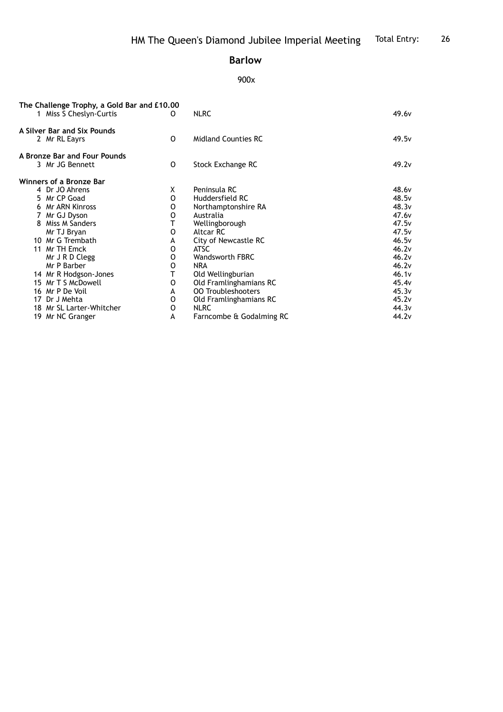## **Barlow**

## 900x

| The Challenge Trophy, a Gold Bar and £10.00<br>1 Miss S Cheslyn-Curtis | O | <b>NLRC</b>                | 49.6 <sub>v</sub> |
|------------------------------------------------------------------------|---|----------------------------|-------------------|
| A Silver Bar and Six Pounds<br>2 Mr RL Eayrs                           | 0 | <b>Midland Counties RC</b> | 49.5 <sub>v</sub> |
|                                                                        |   |                            |                   |
| A Bronze Bar and Four Pounds                                           |   |                            |                   |
| 3 Mr JG Bennett                                                        | 0 | Stock Exchange RC          | 49.2 <sub>v</sub> |
| Winners of a Bronze Bar                                                |   |                            |                   |
| 4 Dr JO Ahrens                                                         | X | Peninsula RC               | 48.6 <sub>v</sub> |
| 5 Mr CP Goad                                                           | 0 | Huddersfield RC            | 48.5 <sub>v</sub> |
| Mr ARN Kinross<br>6                                                    | 0 | Northamptonshire RA        | 48.3v             |
| 7 Mr GJ Dyson                                                          | 0 | Australia                  | 47.6 <sub>v</sub> |
| Miss M Sanders<br>8                                                    |   | Wellingborough             | 47.5v             |
| Mr TJ Bryan                                                            | 0 | Altcar RC                  | 47.5v             |
| 10 Mr G Trembath                                                       | A | City of Newcastle RC       | 46.5v             |
| 11 Mr TH Emck                                                          | 0 | <b>ATSC</b>                | 46.2v             |
| Mr J R D Clegg                                                         | 0 | <b>Wandsworth FBRC</b>     | 46.2v             |
| Mr P Barber                                                            | 0 | <b>NRA</b>                 | 46.2v             |
| 14 Mr R Hodgson-Jones                                                  | т | Old Wellingburian          | 46.1v             |
| 15 Mr T S McDowell                                                     | O | Old Framlinghamians RC     | 45.4 <sub>v</sub> |
| 16 Mr P De Voil                                                        | A | <b>00 Troubleshooters</b>  | 45.3v             |
| 17 Dr J Mehta                                                          | 0 | Old Framlinghamians RC     | 45.2v             |
| 18 Mr SL Larter-Whitcher                                               | 0 | <b>NLRC</b>                | 44.3 <sub>v</sub> |
| 19 Mr NC Granger                                                       | А | Farncombe & Godalming RC   | 44.2v             |